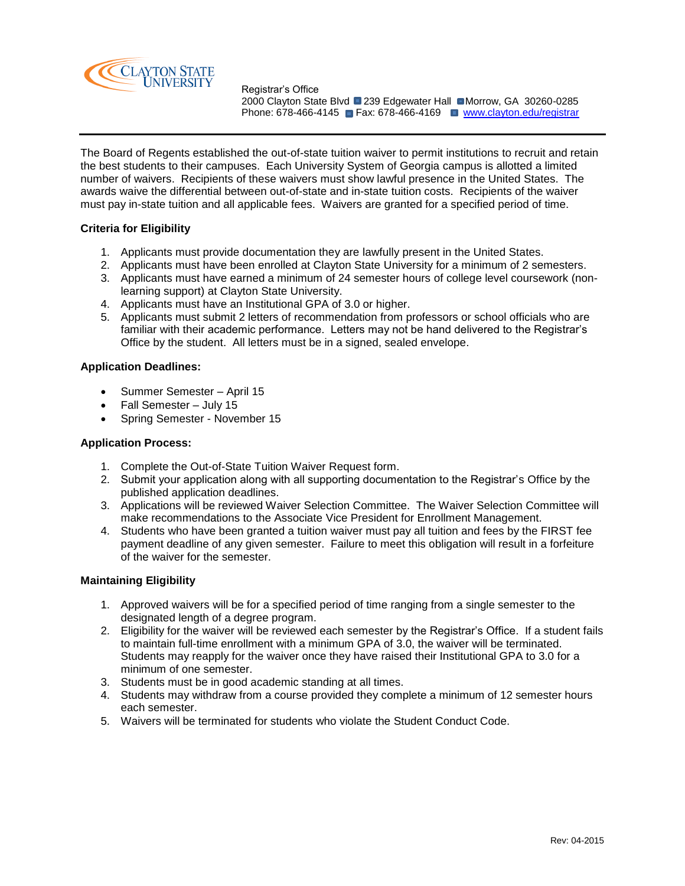

Registrar's Office 2000 Clayton State Blvd ■ 239 Edgewater Hall ■ Morrow, GA 30260-0285 Phone: 678-466-4145 **Fax: 678-466-4169 Www.clayton.edu/registrar** 

The Board of Regents established the out-of-state tuition waiver to permit institutions to recruit and retain the best students to their campuses. Each University System of Georgia campus is allotted a limited number of waivers. Recipients of these waivers must show lawful presence in the United States. The awards waive the differential between out-of-state and in-state tuition costs. Recipients of the waiver must pay in-state tuition and all applicable fees. Waivers are granted for a specified period of time.

# **Criteria for Eligibility**

- 1. Applicants must provide documentation they are lawfully present in the United States.
- 2. Applicants must have been enrolled at Clayton State University for a minimum of 2 semesters.
- 3. Applicants must have earned a minimum of 24 semester hours of college level coursework (nonlearning support) at Clayton State University.
- 4. Applicants must have an Institutional GPA of 3.0 or higher.
- 5. Applicants must submit 2 letters of recommendation from professors or school officials who are familiar with their academic performance. Letters may not be hand delivered to the Registrar's Office by the student. All letters must be in a signed, sealed envelope.

# **Application Deadlines:**

- Summer Semester April 15
- Fall Semester July 15
- Spring Semester November 15

## **Application Process:**

- 1. Complete the Out-of-State Tuition Waiver Request form.
- 2. Submit your application along with all supporting documentation to the Registrar's Office by the published application deadlines.
- 3. Applications will be reviewed Waiver Selection Committee. The Waiver Selection Committee will make recommendations to the Associate Vice President for Enrollment Management.
- 4. Students who have been granted a tuition waiver must pay all tuition and fees by the FIRST fee payment deadline of any given semester. Failure to meet this obligation will result in a forfeiture of the waiver for the semester.

# **Maintaining Eligibility**

- 1. Approved waivers will be for a specified period of time ranging from a single semester to the designated length of a degree program.
- 2. Eligibility for the waiver will be reviewed each semester by the Registrar's Office. If a student fails to maintain full-time enrollment with a minimum GPA of 3.0, the waiver will be terminated. Students may reapply for the waiver once they have raised their Institutional GPA to 3.0 for a minimum of one semester.
- 3. Students must be in good academic standing at all times.
- 4. Students may withdraw from a course provided they complete a minimum of 12 semester hours each semester.
- 5. Waivers will be terminated for students who violate the Student Conduct Code.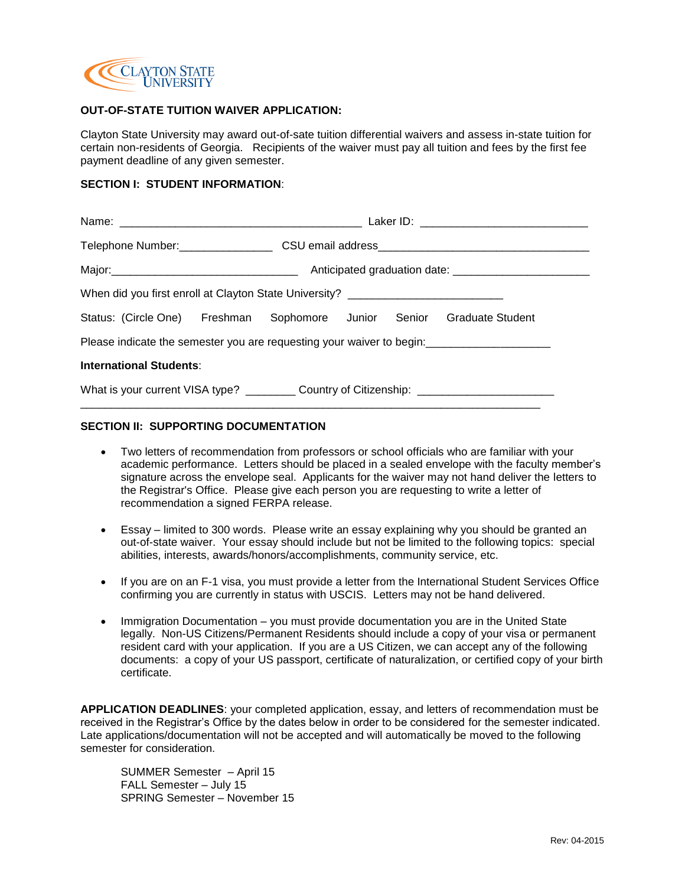

# **OUT-OF-STATE TUITION WAIVER APPLICATION:**

Clayton State University may award out-of-sate tuition differential waivers and assess in-state tuition for certain non-residents of Georgia. Recipients of the waiver must pay all tuition and fees by the first fee payment deadline of any given semester.

# **SECTION I: STUDENT INFORMATION**:

| Telephone Number:___________________CSU email address____________________________                    |  |
|------------------------------------------------------------------------------------------------------|--|
|                                                                                                      |  |
| When did you first enroll at Clayton State University? _________________________                     |  |
| Status: (Circle One) Freshman Sophomore Junior Senior Graduate Student                               |  |
|                                                                                                      |  |
| <b>International Students:</b>                                                                       |  |
| What is your current VISA type? ___________ Country of Citizenship: ________________________________ |  |

### **SECTION II: SUPPORTING DOCUMENTATION**

- Two letters of recommendation from professors or school officials who are familiar with your academic performance. Letters should be placed in a sealed envelope with the faculty member's signature across the envelope seal. Applicants for the waiver may not hand deliver the letters to the Registrar's Office. Please give each person you are requesting to write a letter of recommendation a signed FERPA release.
- Essay limited to 300 words. Please write an essay explaining why you should be granted an out-of-state waiver. Your essay should include but not be limited to the following topics: special abilities, interests, awards/honors/accomplishments, community service, etc.
- If you are on an F-1 visa, you must provide a letter from the International Student Services Office confirming you are currently in status with USCIS. Letters may not be hand delivered.
- Immigration Documentation you must provide documentation you are in the United State legally. Non-US Citizens/Permanent Residents should include a copy of your visa or permanent resident card with your application. If you are a US Citizen, we can accept any of the following documents: a copy of your US passport, certificate of naturalization, or certified copy of your birth certificate.

**APPLICATION DEADLINES**: your completed application, essay, and letters of recommendation must be received in the Registrar's Office by the dates below in order to be considered for the semester indicated. Late applications/documentation will not be accepted and will automatically be moved to the following semester for consideration.

SUMMER Semester – April 15 FALL Semester – July 15 SPRING Semester – November 15